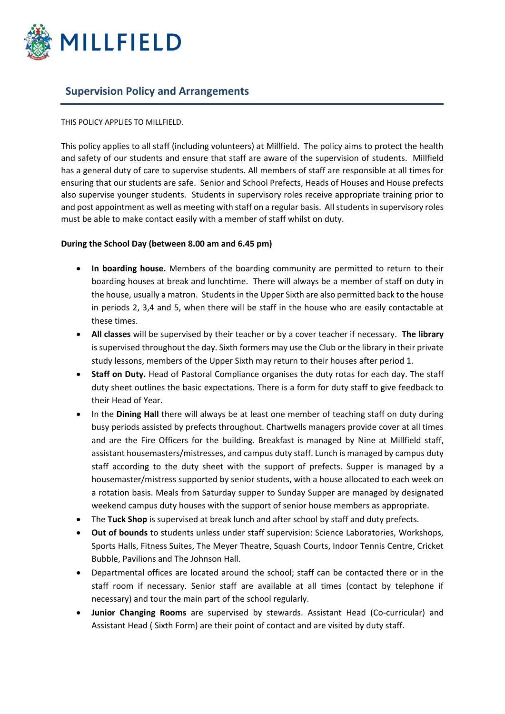

# **Supervision Policy and Arrangements**

## THIS POLICY APPLIES TO MILLFIELD.

This policy applies to all staff (including volunteers) at Millfield. The policy aims to protect the health and safety of our students and ensure that staff are aware of the supervision of students. Millfield has a general duty of care to supervise students. All members of staff are responsible at all times for ensuring that our students are safe. Senior and School Prefects, Heads of Houses and House prefects also supervise younger students. Students in supervisory roles receive appropriate training prior to and post appointment as well as meeting with staff on a regular basis. All students in supervisory roles must be able to make contact easily with a member of staff whilst on duty.

## **During the School Day (between 8.00 am and 6.45 pm)**

- In boarding house. Members of the boarding community are permitted to return to their boarding houses at break and lunchtime. There will always be a member of staff on duty in the house, usually a matron. Students in the Upper Sixth are also permitted back to the house in periods 2, 3,4 and 5, when there will be staff in the house who are easily contactable at these times.
- **All classes** will be supervised by their teacher or by a cover teacher if necessary. **The library** is supervised throughout the day. Sixth formers may use the Club or the library in their private study lessons, members of the Upper Sixth may return to their houses after period 1.
- **Staff on Duty.** Head of Pastoral Compliance organises the duty rotas for each day. The staff duty sheet outlines the basic expectations. There is a form for duty staff to give feedback to their Head of Year.
- In the **Dining Hall** there will always be at least one member of teaching staff on duty during busy periods assisted by prefects throughout. Chartwells managers provide cover at all times and are the Fire Officers for the building. Breakfast is managed by Nine at Millfield staff, assistant housemasters/mistresses, and campus duty staff. Lunch is managed by campus duty staff according to the duty sheet with the support of prefects. Supper is managed by a housemaster/mistress supported by senior students, with a house allocated to each week on a rotation basis. Meals from Saturday supper to Sunday Supper are managed by designated weekend campus duty houses with the support of senior house members as appropriate.
- The **Tuck Shop** is supervised at break lunch and after school by staff and duty prefects.
- **Out of bounds** to students unless under staff supervision: Science Laboratories, Workshops, Sports Halls, Fitness Suites, The Meyer Theatre, Squash Courts, Indoor Tennis Centre, Cricket Bubble, Pavilions and The Johnson Hall.
- Departmental offices are located around the school; staff can be contacted there or in the staff room if necessary. Senior staff are available at all times (contact by telephone if necessary) and tour the main part of the school regularly.
- **Junior Changing Rooms** are supervised by stewards. Assistant Head (Co-curricular) and Assistant Head ( Sixth Form) are their point of contact and are visited by duty staff.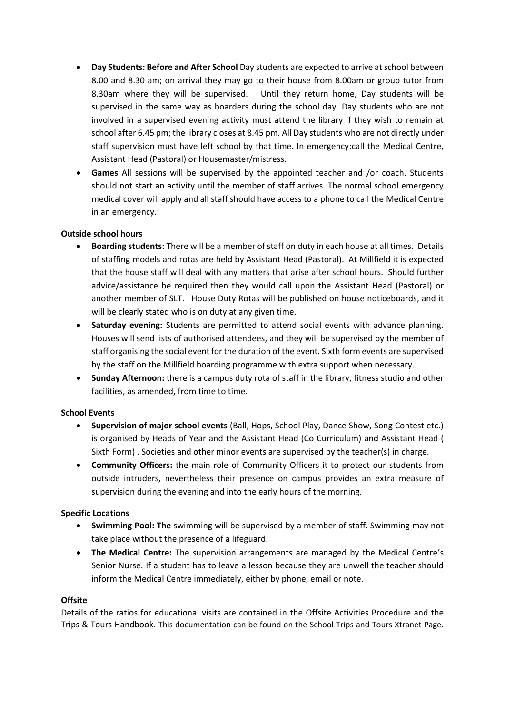- **Day Students: Before and After School** Day students are expected to arrive at school between 8.00 and 8.30 am; on arrival they may go to their house from 8.00am or group tutor from 8.30am where they will be supervised. Until they return home, Day students will be supervised in the same way as boarders during the school day. Day students who are not involved in a supervised evening activity must attend the library if they wish to remain at school after 6.45 pm; the library closes at 8.45 pm. All Day students who are not directly under staff supervision must have left school by that time. In emergency:call the Medical Centre, Assistant Head (Pastoral) or Housemaster/mistress.
- **Games** All sessions will be supervised by the appointed teacher and /or coach. Students should not start an activity until the member of staff arrives. The normal school emergency medical cover will apply and all staff should have access to a phone to call the Medical Centre in an emergency.

## **Outside school hours**

- **Boarding students:** There will be a member of staff on duty in each house at all times. Details of staffing models and rotas are held by Assistant Head (Pastoral). At Millfield it is expected that the house staff will deal with any matters that arise after school hours. Should further advice/assistance be required then they would call upon the Assistant Head (Pastoral) or another member of SLT. House Duty Rotas will be published on house noticeboards, and it will be clearly stated who is on duty at any given time.
- **Saturday evening:** Students are permitted to attend social events with advance planning. Houses will send lists of authorised attendees, and they will be supervised by the member of staff organising the social event for the duration of the event. Sixth form events are supervised by the staff on the Millfield boarding programme with extra support when necessary.
- **Sunday Afternoon:** there is a campus duty rota of staff in the library, fitness studio and other facilities, as amended, from time to time.

### **School Events**

- **Supervision of major school events** (Ball, Hops, School Play, Dance Show, Song Contest etc.) is organised by Heads of Year and the Assistant Head (Co Curriculum) and Assistant Head ( Sixth Form) . Societies and other minor events are supervised by the teacher(s) in charge.
- **Community Officers:** the main role of Community Officers it to protect our students from outside intruders, nevertheless their presence on campus provides an extra measure of supervision during the evening and into the early hours of the morning.

### **Specific Locations**

- **Swimming Pool: The** swimming will be supervised by a member of staff. Swimming may not take place without the presence of a lifeguard.
- **The Medical Centre:** The supervision arrangements are managed by the Medical Centre's Senior Nurse. If a student has to leave a lesson because they are unwell the teacher should inform the Medical Centre immediately, either by phone, email or note.

### **Offsite**

Details of the ratios for educational visits are contained in the Offsite Activities Procedure and the Trips & Tours Handbook. This documentation can be found on the School Trips and Tours Xtranet Page.